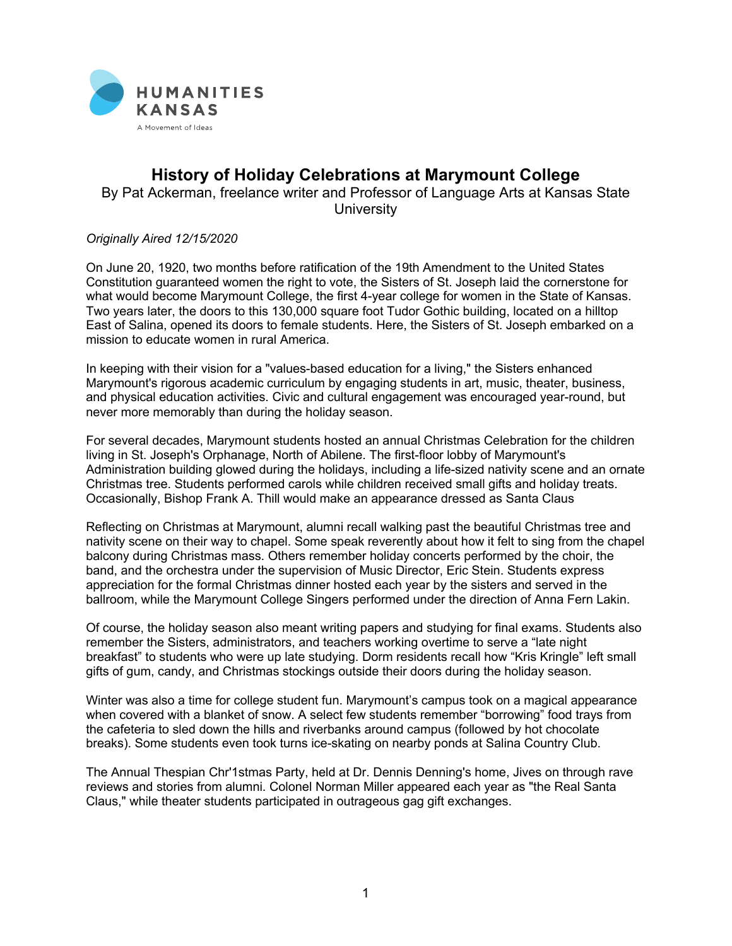

## **History of Holiday Celebrations at Marymount College**

By Pat Ackerman, freelance writer and Professor of Language Arts at Kansas State **University** 

*Originally Aired 12/15/2020*

On June 20, 1920, two months before ratification of the 19th Amendment to the United States Constitution guaranteed women the right to vote, the Sisters of St. Joseph laid the cornerstone for what would become Marymount College, the first 4-year college for women in the State of Kansas. Two years later, the doors to this 130,000 square foot Tudor Gothic building, located on a hilltop East of Salina, opened its doors to female students. Here, the Sisters of St. Joseph embarked on a mission to educate women in rural America.

In keeping with their vision for a "values-based education for a living," the Sisters enhanced Marymount's rigorous academic curriculum by engaging students in art, music, theater, business, and physical education activities. Civic and cultural engagement was encouraged year-round, but never more memorably than during the holiday season.

For several decades, Marymount students hosted an annual Christmas Celebration for the children living in St. Joseph's Orphanage, North of Abilene. The first-floor lobby of Marymount's Administration building glowed during the holidays, including a life-sized nativity scene and an ornate Christmas tree. Students performed carols while children received small gifts and holiday treats. Occasionally, Bishop Frank A. Thill would make an appearance dressed as Santa Claus

Reflecting on Christmas at Marymount, alumni recall walking past the beautiful Christmas tree and nativity scene on their way to chapel. Some speak reverently about how it felt to sing from the chapel balcony during Christmas mass. Others remember holiday concerts performed by the choir, the band, and the orchestra under the supervision of Music Director, Eric Stein. Students express appreciation for the formal Christmas dinner hosted each year by the sisters and served in the ballroom, while the Marymount College Singers performed under the direction of Anna Fern Lakin.

Of course, the holiday season also meant writing papers and studying for final exams. Students also remember the Sisters, administrators, and teachers working overtime to serve a "late night breakfast" to students who were up late studying. Dorm residents recall how "Kris Kringle" left small gifts of gum, candy, and Christmas stockings outside their doors during the holiday season.

Winter was also a time for college student fun. Marymount's campus took on a magical appearance when covered with a blanket of snow. A select few students remember "borrowing" food trays from the cafeteria to sled down the hills and riverbanks around campus (followed by hot chocolate breaks). Some students even took turns ice-skating on nearby ponds at Salina Country Club.

The Annual Thespian Chr'1stmas Party, held at Dr. Dennis Denning's home, Jives on through rave reviews and stories from alumni. Colonel Norman Miller appeared each year as "the Real Santa Claus," while theater students participated in outrageous gag gift exchanges.